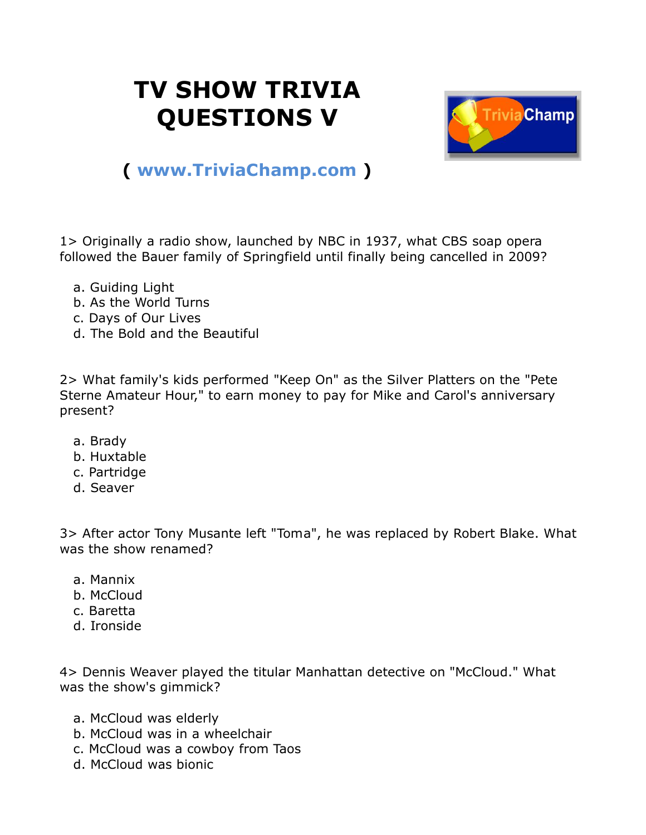## **TV SHOW TRIVIA QUESTIONS V**



## **( [www.TriviaChamp.com](http://www.triviachamp.com/) )**

1> Originally a radio show, launched by NBC in 1937, what CBS soap opera followed the Bauer family of Springfield until finally being cancelled in 2009?

- a. Guiding Light
- b. As the World Turns
- c. Days of Our Lives
- d. The Bold and the Beautiful

2> What family's kids performed "Keep On" as the Silver Platters on the "Pete Sterne Amateur Hour," to earn money to pay for Mike and Carol's anniversary present?

- a. Brady
- b. Huxtable
- c. Partridge
- d. Seaver

3> After actor Tony Musante left "Toma", he was replaced by Robert Blake. What was the show renamed?

- a. Mannix
- b. McCloud
- c. Baretta
- d. Ironside

4> Dennis Weaver played the titular Manhattan detective on "McCloud." What was the show's gimmick?

- a. McCloud was elderly
- b. McCloud was in a wheelchair
- c. McCloud was a cowboy from Taos
- d. McCloud was bionic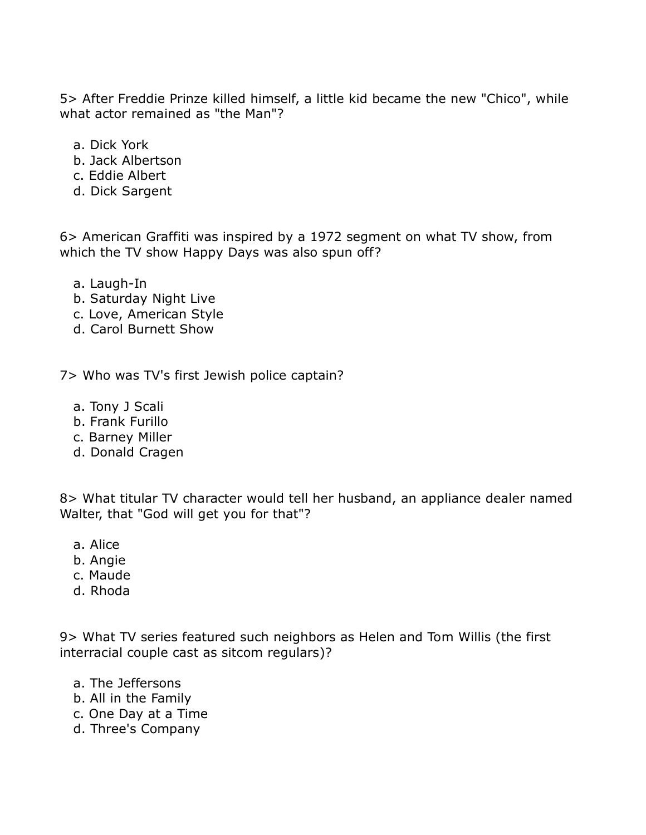5> After Freddie Prinze killed himself, a little kid became the new "Chico", while what actor remained as "the Man"?

- a. Dick York
- b. Jack Albertson
- c. Eddie Albert
- d. Dick Sargent

6> American Graffiti was inspired by a 1972 segment on what TV show, from which the TV show Happy Days was also spun off?

- a. Laugh-In
- b. Saturday Night Live
- c. Love, American Style
- d. Carol Burnett Show

7> Who was TV's first Jewish police captain?

- a. Tony J Scali
- b. Frank Furillo
- c. Barney Miller
- d. Donald Cragen

8> What titular TV character would tell her husband, an appliance dealer named Walter, that "God will get you for that"?

- a. Alice
- b. Angie
- c. Maude
- d. Rhoda

9> What TV series featured such neighbors as Helen and Tom Willis (the first interracial couple cast as sitcom regulars)?

- a. The Jeffersons
- b. All in the Family
- c. One Day at a Time
- d. Three's Company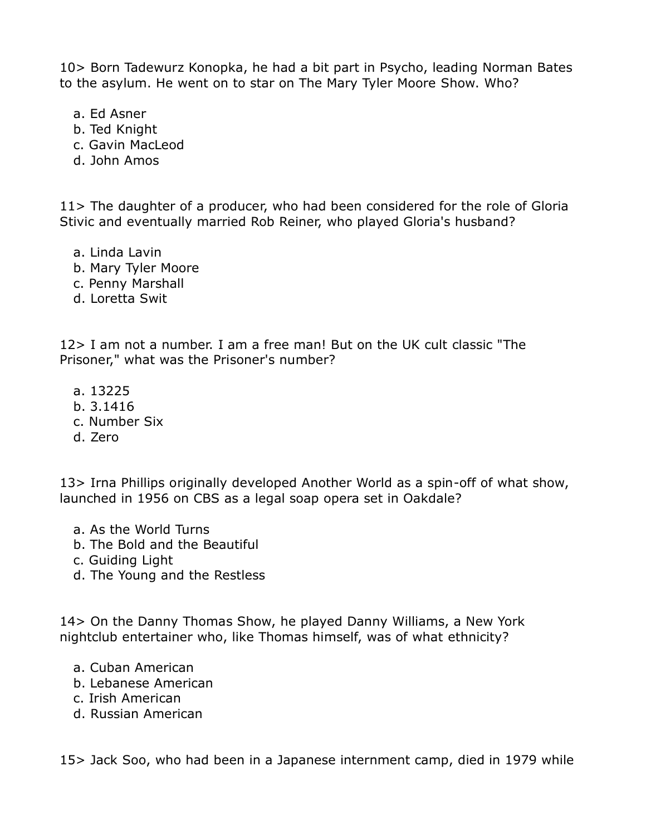10> Born Tadewurz Konopka, he had a bit part in Psycho, leading Norman Bates to the asylum. He went on to star on The Mary Tyler Moore Show. Who?

- a. Ed Asner
- b. Ted Knight
- c. Gavin MacLeod
- d. John Amos

11> The daughter of a producer, who had been considered for the role of Gloria Stivic and eventually married Rob Reiner, who played Gloria's husband?

- a. Linda Lavin
- b. Mary Tyler Moore
- c. Penny Marshall
- d. Loretta Swit

12> I am not a number. I am a free man! But on the UK cult classic "The Prisoner," what was the Prisoner's number?

- a. 13225
- b. 3.1416
- c. Number Six
- d. Zero

13> Irna Phillips originally developed Another World as a spin-off of what show, launched in 1956 on CBS as a legal soap opera set in Oakdale?

- a. As the World Turns
- b. The Bold and the Beautiful
- c. Guiding Light
- d. The Young and the Restless

14> On the Danny Thomas Show, he played Danny Williams, a New York nightclub entertainer who, like Thomas himself, was of what ethnicity?

- a. Cuban American
- b. Lebanese American
- c. Irish American
- d. Russian American

15> Jack Soo, who had been in a Japanese internment camp, died in 1979 while